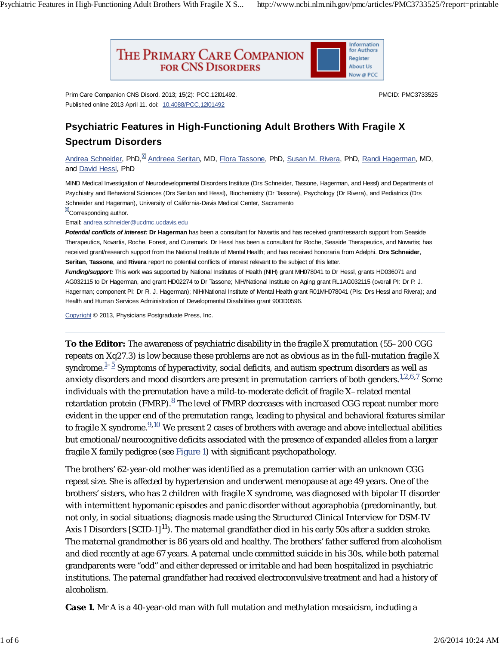Psychiatric Features in High-Functioning Adult Brothers With Fragile X S... http://www.ncbi.nlm.nih.gov/pmc/articles/PMC3733525/?report=printable



Prim Care Companion CNS Disord. 2013; 15(2): PCC.12l01492. Published online 2013 April 11. doi: 10.4088/PCC.12l01492

PMCID: PMC3733525

## **Psychiatric Features in High-Functioning Adult Brothers With Fragile X Spectrum Disorders**

Andrea Schneider, PhD,<sup>M</sup> Andreea Seritan, MD, Flora Tassone, PhD, Susan M. Rivera, PhD, Randi Hagerman, MD, and David Hessl, PhD

MIND Medical Investigation of Neurodevelopmental Disorders Institute (Drs Schneider, Tassone, Hagerman, and Hessl) and Departments of Psychiatry and Behavioral Sciences (Drs Seritan and Hessl), Biochemistry (Dr Tassone), Psychology (Dr Rivera), and Pediatrics (Drs Schneider and Hagerman), University of California-Davis Medical Center, Sacramento

**X**Corresponding author.

Email: andrea.schneider@ucdmc.ucdavis.edu

*Potential conflicts of interest:* **Dr Hagerman** has been a consultant for Novartis and has received grant/research support from Seaside Therapeutics, Novartis, Roche, Forest, and Curemark. Dr Hessl has been a consultant for Roche, Seaside Therapeutics, and Novartis; has received grant/research support from the National Institute of Mental Health; and has received honoraria from Adelphi. **Drs Schneider**, **Seritan**, **Tassone**, and **Rivera** report no potential conflicts of interest relevant to the subject of this letter.

*Funding/support:* This work was supported by National Institutes of Health (NIH) grant MH078041 to Dr Hessl, grants HD036071 and AG032115 to Dr Hagerman, and grant HD02274 to Dr Tassone; NIH/National Institute on Aging grant RL1AG032115 (overall PI: Dr P. J. Hagerman; component PI: Dr R. J. Hagerman); NIH/National Institute of Mental Health grant R01MH078041 (PIs: Drs Hessl and Rivera); and Health and Human Services Administration of Developmental Disabilities grant 90DD0596.

Copyright © 2013, Physicians Postgraduate Press, Inc.

**To the Editor:** The awareness of psychiatric disability in the fragile X premutation (55–200 CGG repeats on Xq27.3) is low because these problems are not as obvious as in the full-mutation fragile X syndrome. $\mathrm{\frac{1-5}{5}}$  Symptoms of hyperactivity, social deficits, and autism spectrum disorders as well as anxiety disorders and mood disorders are present in premutation carriers of both genders. $^{1,2,6,7}_{\cdot}$  Some individuals with the premutation have a mild-to-moderate deficit of fragile X–related mental retardation protein (FMRP). $^{\underline{8}}$  The level of FMRP decreases with increased CGG repeat number more evident in the upper end of the premutation range, leading to physical and behavioral features similar to fragile X syndrome. $\frac{9,10}{2}$  We present 2 cases of brothers with average and above intellectual abilities but emotional/neurocognitive deficits associated with the presence of expanded alleles from a larger fragile X family pedigree (see  $Figure 1$ ) with significant psychopathology.

The brothers' 62-year-old mother was identified as a premutation carrier with an unknown CGG repeat size. She is affected by hypertension and underwent menopause at age 49 years. One of the brothers' sisters, who has 2 children with fragile X syndrome, was diagnosed with bipolar II disorder with intermittent hypomanic episodes and panic disorder without agoraphobia (predominantly, but not only, in social situations; diagnosis made using the *Structured Clinical Interview for* DSM-IV Axis I Disorders [SCID-I]<sup>11</sup>). The maternal grandfather died in his early 50s after a sudden stroke. The maternal grandmother is 86 years old and healthy. The brothers' father suffered from alcoholism and died recently at age 67 years. A paternal uncle committed suicide in his 30s, while both paternal grandparents were "odd" and either depressed or irritable and had been hospitalized in psychiatric institutions. The paternal grandfather had received electroconvulsive treatment and had a history of alcoholism.

*Case 1.* Mr A is a 40-year-old man with full mutation and methylation mosaicism, including a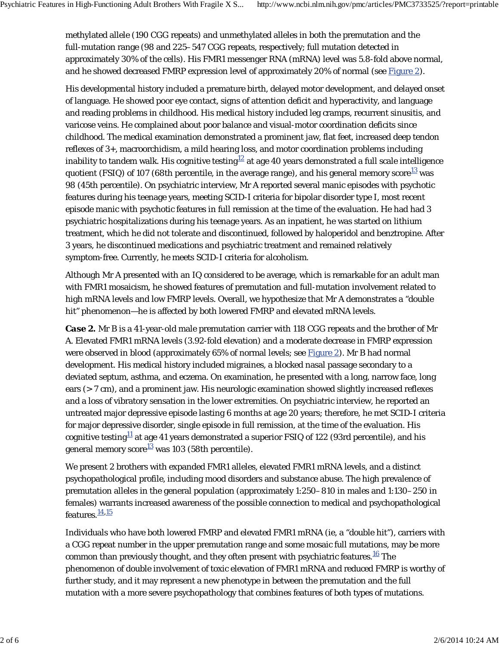methylated allele (190 CGG repeats) and unmethylated alleles in both the premutation and the full-mutation range (98 and 225–547 CGG repeats, respectively; full mutation detected in approximately 30% of the cells). His *FMR1* messenger RNA (mRNA) level was 5.8-fold above normal, and he showed decreased FMRP expression level of approximately 20% of normal (see Figure 2).

His developmental history included a premature birth, delayed motor development, and delayed onset of language. He showed poor eye contact, signs of attention deficit and hyperactivity, and language and reading problems in childhood. His medical history included leg cramps, recurrent sinusitis, and varicose veins. He complained about poor balance and visual-motor coordination deficits since childhood. The medical examination demonstrated a prominent jaw, flat feet, increased deep tendon reflexes of 3+, macroorchidism, a mild hearing loss, and motor coordination problems including inability to tandem walk. His cognitive testing $^{12}$  at age 40 years demonstrated a full scale intelligence quotient (FSIQ) of 107 (68th percentile, in the average range), and his general memory score $^{13}$  was 98 (45th percentile). On psychiatric interview, Mr A reported several manic episodes with psychotic features during his teenage years, meeting SCID-I criteria for bipolar disorder type I, most recent episode manic with psychotic features in full remission at the time of the evaluation. He had had 3 psychiatric hospitalizations during his teenage years. As an inpatient, he was started on lithium treatment, which he did not tolerate and discontinued, followed by haloperidol and benztropine. After 3 years, he discontinued medications and psychiatric treatment and remained relatively symptom-free. Currently, he meets SCID-I criteria for alcoholism.

Although Mr A presented with an IQ considered to be average, which is remarkable for an adult man with *FMR1* mosaicism, he showed features of premutation and full-mutation involvement related to high mRNA levels and low FMRP levels. Overall, we hypothesize that Mr A demonstrates a "double hit" phenomenon—he is affected by both lowered FMRP and elevated mRNA levels.

*Case 2.* Mr B is a 41-year-old male premutation carrier with 118 CGG repeats and the brother of Mr A. Elevated *FMR1* mRNA levels (3.92-fold elevation) and a moderate decrease in FMRP expression were observed in blood (approximately 65% of normal levels; see Figure 2). Mr B had normal development. His medical history included migraines, a blocked nasal passage secondary to a deviated septum, asthma, and eczema. On examination, he presented with a long, narrow face, long ears (> 7 cm), and a prominent jaw. His neurologic examination showed slightly increased reflexes and a loss of vibratory sensation in the lower extremities. On psychiatric interview, he reported an untreated major depressive episode lasting 6 months at age 20 years; therefore, he met SCID-I criteria for major depressive disorder, single episode in full remission, at the time of the evaluation. His cognitive testing $^{1\!\! 1}$  at age 41 years demonstrated a superior FSIQ of 122 (93rd percentile), and his general memory score $^{13}$  was 103 (58th percentile).

We present 2 brothers with expanded *FMR1* alleles, elevated *FMR1* mRNA levels, and a distinct psychopathological profile, including mood disorders and substance abuse. The high prevalence of premutation alleles in the general population (approximately 1:250–810 in males and 1:130–250 in females) warrants increased awareness of the possible connection to medical and psychopathological features.<sup>14,15</sup>

Individuals who have both lowered FMRP and elevated *FMR1* mRNA (ie, a "double hit"), carriers with a CGG repeat number in the upper premutation range and some mosaic full mutations, may be more common than previously thought, and they often present with psychiatric features. $^{16}$  The phenomenon of double involvement of toxic elevation of *FMR1* mRNA and reduced FMRP is worthy of further study, and it may represent a new phenotype in between the premutation and the full mutation with a more severe psychopathology that combines features of both types of mutations.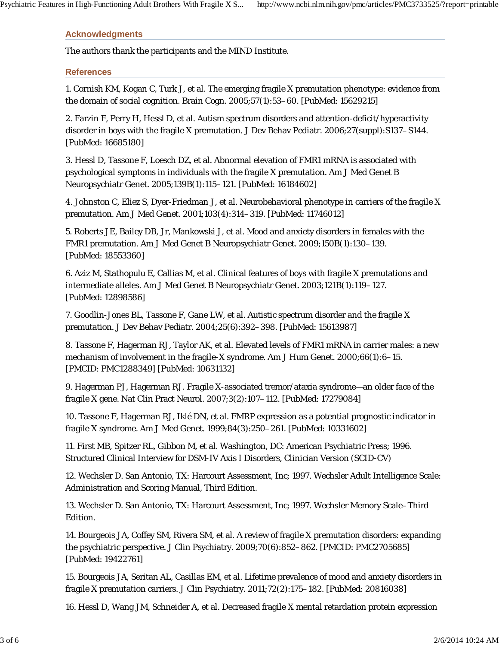## **Acknowledgments**

The authors thank the participants and the MIND Institute.

## **References**

1. Cornish KM, Kogan C, Turk J, et al. The emerging fragile X premutation phenotype: evidence from the domain of social cognition. Brain Cogn. 2005;57(1):53–60. [PubMed: 15629215]

2. Farzin F, Perry H, Hessl D, et al. Autism spectrum disorders and attention-deficit/hyperactivity disorder in boys with the fragile X premutation. J Dev Behav Pediatr. 2006;27(suppl):S137–S144. [PubMed: 16685180]

3. Hessl D, Tassone F, Loesch DZ, et al. Abnormal elevation of FMR1 mRNA is associated with psychological symptoms in individuals with the fragile X premutation. Am J Med Genet B Neuropsychiatr Genet. 2005;139B(1):115–121. [PubMed: 16184602]

4. Johnston C, Eliez S, Dyer-Friedman J, et al. Neurobehavioral phenotype in carriers of the fragile X premutation. Am J Med Genet. 2001;103(4):314–319. [PubMed: 11746012]

5. Roberts JE, Bailey DB, Jr, Mankowski J, et al. Mood and anxiety disorders in females with the FMR1 premutation. Am J Med Genet B Neuropsychiatr Genet. 2009;150B(1):130–139. [PubMed: 18553360]

6. Aziz M, Stathopulu E, Callias M, et al. Clinical features of boys with fragile X premutations and intermediate alleles. Am J Med Genet B Neuropsychiatr Genet. 2003;121B(1):119–127. [PubMed: 12898586]

7. Goodlin-Jones BL, Tassone F, Gane LW, et al. Autistic spectrum disorder and the fragile X premutation. J Dev Behav Pediatr. 2004;25(6):392–398. [PubMed: 15613987]

8. Tassone F, Hagerman RJ, Taylor AK, et al. Elevated levels of FMR1 mRNA in carrier males: a new mechanism of involvement in the fragile-X syndrome. Am J Hum Genet. 2000;66(1):6–15. [PMCID: PMC1288349] [PubMed: 10631132]

9. Hagerman PJ, Hagerman RJ. Fragile X-associated tremor/ataxia syndrome—an older face of the fragile X gene. Nat Clin Pract Neurol. 2007;3(2):107–112. [PubMed: 17279084]

10. Tassone F, Hagerman RJ, Iklé DN, et al. FMRP expression as a potential prognostic indicator in fragile X syndrome. Am J Med Genet. 1999;84(3):250–261. [PubMed: 10331602]

11. First MB, Spitzer RL, Gibbon M, et al. Washington, DC: American Psychiatric Press; 1996. Structured Clinical Interview for DSM-IV Axis I Disorders, Clinician Version (SCID-CV)

12. Wechsler D. San Antonio, TX: Harcourt Assessment, Inc; 1997. Wechsler Adult Intelligence Scale: Administration and Scoring Manual, Third Edition.

13. Wechsler D. San Antonio, TX: Harcourt Assessment, Inc; 1997. Wechsler Memory Scale–Third Edition.

14. Bourgeois JA, Coffey SM, Rivera SM, et al. A review of fragile X premutation disorders: expanding the psychiatric perspective. J Clin Psychiatry. 2009;70(6):852–862. [PMCID: PMC2705685] [PubMed: 19422761]

15. Bourgeois JA, Seritan AL, Casillas EM, et al. Lifetime prevalence of mood and anxiety disorders in fragile X premutation carriers. J Clin Psychiatry. 2011;72(2):175–182. [PubMed: 20816038]

16. Hessl D, Wang JM, Schneider A, et al. Decreased fragile X mental retardation protein expression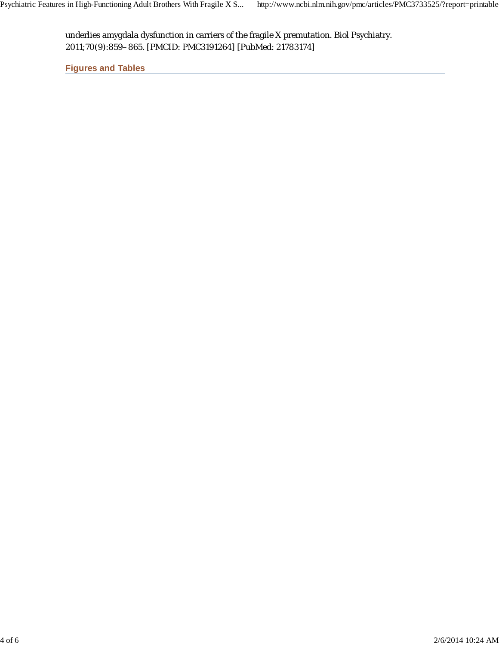underlies amygdala dysfunction in carriers of the fragile X premutation. Biol Psychiatry. 2011;70(9):859–865. [PMCID: PMC3191264] [PubMed: 21783174]

**Figures and Tables**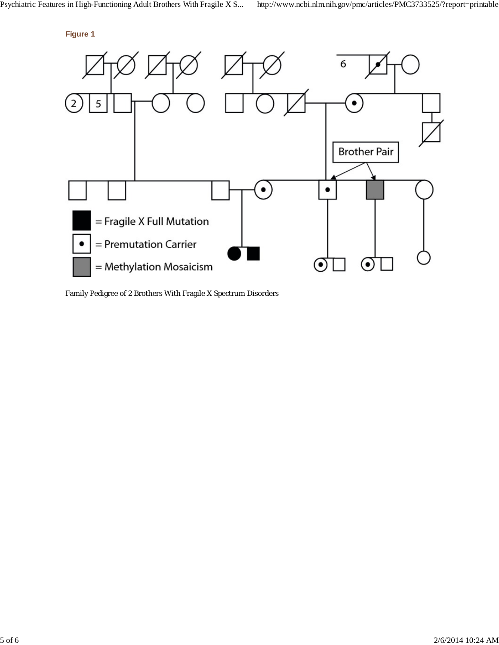



Family Pedigree of 2 Brothers With Fragile X Spectrum Disorders